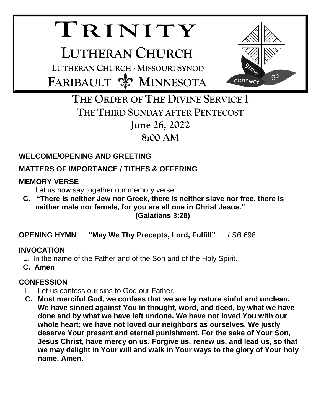# **TR I N I T Y**

**LUTHERAN CHURCH LUTHERAN CHURCH - MISSOURI SYNOD FARIBAULT & MINNESOTA** 



## **THE ORDER OF THE DIVINE SERVICE I THE THIRD SUNDAY AFTER PENTECOST June 26, 2022 8:00 AM**

## **WELCOME/OPENING AND GREETING**

## **MATTERS OF IMPORTANCE / TITHES & OFFERING**

## **MEMORY VERSE**

- L. Let us now say together our memory verse.
- **C. "There is neither Jew nor Greek, there is neither slave nor free, there is neither male nor female, for you are all one in Christ Jesus." (Galatians 3:28)**

## **OPENING HYMN "May We Thy Precepts, Lord, Fulfill"** *LSB* 698

## **INVOCATION**

- L. In the name of the Father and of the Son and of the Holy Spirit.
- **C. Amen**

## **CONFESSION**

- L. Let us confess our sins to God our Father.
- **C. Most merciful God, we confess that we are by nature sinful and unclean. We have sinned against You in thought, word, and deed, by what we have done and by what we have left undone. We have not loved You with our whole heart; we have not loved our neighbors as ourselves. We justly deserve Your present and eternal punishment. For the sake of Your Son, Jesus Christ, have mercy on us. Forgive us, renew us, and lead us, so that we may delight in Your will and walk in Your ways to the glory of Your holy name. Amen.**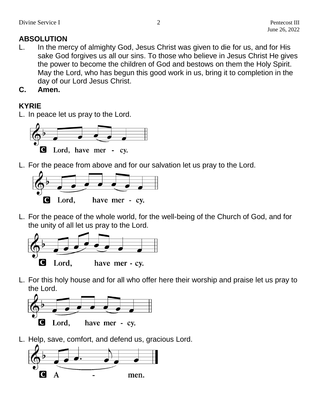## **ABSOLUTION**

- L. In the mercy of almighty God, Jesus Christ was given to die for us, and for His sake God forgives us all our sins. To those who believe in Jesus Christ He gives the power to become the children of God and bestows on them the Holy Spirit. May the Lord, who has begun this good work in us, bring it to completion in the day of our Lord Jesus Christ.
- **C. Amen.**

## **KYRIE**

L. In peace let us pray to the Lord.



L. For the peace from above and for our salvation let us pray to the Lord.



L. For the peace of the whole world, for the well-being of the Church of God, and for the unity of all let us pray to the Lord.



L. For this holy house and for all who offer here their worship and praise let us pray to the Lord.



L. Help, save, comfort, and defend us, gracious Lord.

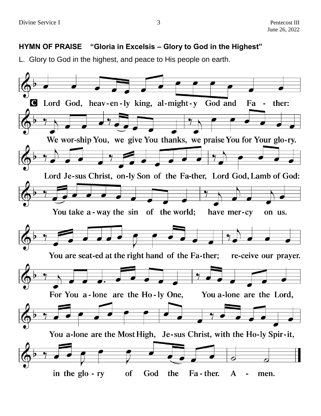## **HYMN OF PRAISE "Gloria in Excelsis – Glory to God in the Highest"**

L.Glory to God in the highest, and peace to His people on earth.

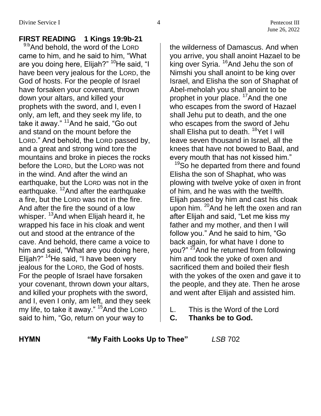## **FIRST READING 1 Kings 19:9b-21**

9:b And behold, the word of the LORD came to him, and he said to him, "What are you doing here, Elijah?" <sup>10</sup>He said, "I have been very jealous for the LORD, the God of hosts. For the people of Israel have forsaken your covenant, thrown down your altars, and killed your prophets with the sword, and I, even I only, am left, and they seek my life, to take it away."  $11$ And he said, "Go out and stand on the mount before the LORD." And behold, the LORD passed by, and a great and strong wind tore the mountains and broke in pieces the rocks before the LORD, but the LORD was not in the wind. And after the wind an earthquake, but the LORD was not in the earthquake. <sup>12</sup>And after the earthquake a fire, but the LORD was not in the fire. And after the fire the sound of a low whisper. <sup>13</sup>And when Elijah heard it, he wrapped his face in his cloak and went out and stood at the entrance of the cave. And behold, there came a voice to him and said, "What are you doing here, Elijah?" <sup>14</sup>He said, "I have been very jealous for the LORD, the God of hosts. For the people of Israel have forsaken your covenant, thrown down your altars, and killed your prophets with the sword, and I, even I only, am left, and they seek my life, to take it away." <sup>15</sup> And the LORD said to him, "Go, return on your way to

the wilderness of Damascus. And when you arrive, you shall anoint Hazael to be king over Syria. <sup>16</sup>And Jehu the son of Nimshi you shall anoint to be king over Israel, and Elisha the son of Shaphat of Abel-meholah you shall anoint to be prophet in your place. <sup>17</sup>And the one who escapes from the sword of Hazael shall Jehu put to death, and the one who escapes from the sword of Jehu shall Elisha put to death. <sup>18</sup>Yet I will leave seven thousand in Israel, all the knees that have not bowed to Baal, and every mouth that has not kissed him."

<sup>19</sup>So he departed from there and found Elisha the son of Shaphat, who was plowing with twelve yoke of oxen in front of him, and he was with the twelfth. Elijah passed by him and cast his cloak upon him. <sup>20</sup>And he left the oxen and ran after Elijah and said, "Let me kiss my father and my mother, and then I will follow you." And he said to him, "Go back again, for what have I done to you?" <sup>21</sup> And he returned from following him and took the yoke of oxen and sacrificed them and boiled their flesh with the yokes of the oxen and gave it to the people, and they ate. Then he arose and went after Elijah and assisted him.

- L. This is the Word of the Lord
- **C. Thanks be to God.**

**HYMN "My Faith Looks Up to Thee"** *LSB* 702

4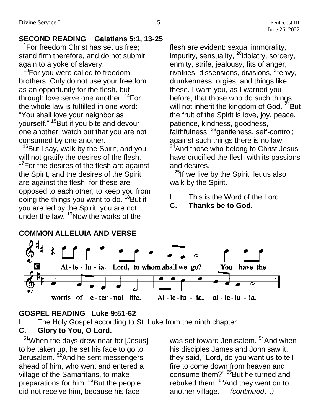## **SECOND READING Galatians 5:1, 13-25**

<sup>1</sup>For freedom Christ has set us free; stand firm therefore, and do not submit again to a yoke of slavery.

<sup>3</sup>For you were called to freedom, brothers. Only do not use your freedom as an opportunity for the flesh, but through love serve one another. <sup>14</sup>For the whole law is fulfilled in one word: "You shall love your neighbor as yourself." <sup>15</sup>But if you bite and devour one another, watch out that you are not consumed by one another.

<sup>16</sup>But I say, walk by the Spirit, and you will not gratify the desires of the flesh.

 $17$ For the desires of the flesh are against the Spirit, and the desires of the Spirit are against the flesh, for these are opposed to each other, to keep you from doing the things you want to do.  $18$ But if you are led by the Spirit, you are not under the law. <sup>19</sup>Now the works of the

flesh are evident: sexual immorality, impurity, sensuality, <sup>20</sup>idolatry, sorcery, enmity, strife, jealousy, fits of anger, rivalries, dissensions, divisions,  $^{21}$ envy, drunkenness, orgies, and things like these. I warn you, as I warned you before, that those who do such things will not inherit the kingdom of God. <sup>22</sup>But the fruit of the Spirit is love, joy, peace, patience, kindness, goodness, faithfulness, <sup>23</sup>gentleness, self-control; against such things there is no law.  $24$ And those who belong to Christ Jesus have crucified the flesh with its passions and desires.

 $25$ If we live by the Spirit, let us also walk by the Spirit.

- L. This is the Word of the Lord
- **C. Thanks be to God.**



## **COMMON ALLELUIA AND VERSE**

## **GOSPEL READING Luke 9:51-62**

L. The Holy Gospel according to St. Luke from the ninth chapter.

## **C. Glory to You, O Lord.**

<sup>51</sup>When the days drew near for [Jesus] to be taken up, he set his face to go to Jerusalem. <sup>52</sup>And he sent messengers ahead of him, who went and entered a village of the Samaritans, to make preparations for him. <sup>53</sup>But the people did not receive him, because his face

was set toward Jerusalem. <sup>54</sup>And when his disciples James and John saw it, they said, "Lord, do you want us to tell fire to come down from heaven and consume them?" <sup>55</sup>But he turned and rebuked them. <sup>56</sup>And they went on to another village. *(continued…)*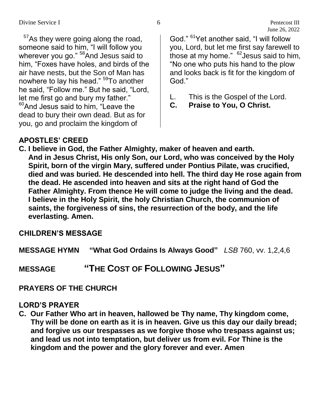$57$ As they were going along the road, someone said to him, "I will follow you wherever you go." <sup>58</sup> And Jesus said to him, "Foxes have holes, and birds of the air have nests, but the Son of Man has nowhere to lay his head." <sup>59</sup>To another he said, "Follow me." But he said, "Lord, let me first go and bury my father."  $60$ And Jesus said to him. "Leave the dead to bury their own dead. But as for you, go and proclaim the kingdom of

God." <sup>61</sup>Yet another said, "I will follow you, Lord, but let me first say farewell to those at my home."  $62$  Jesus said to him, "No one who puts his hand to the plow and looks back is fit for the kingdom of God."

- L. This is the Gospel of the Lord.
- **C. Praise to You, O Christ.**

## **APOSTLES' CREED**

**C. I believe in God, the Father Almighty, maker of heaven and earth. And in Jesus Christ, His only Son, our Lord, who was conceived by the Holy Spirit, born of the virgin Mary, suffered under Pontius Pilate, was crucified, died and was buried. He descended into hell. The third day He rose again from the dead. He ascended into heaven and sits at the right hand of God the Father Almighty. From thence He will come to judge the living and the dead. I believe in the Holy Spirit, the holy Christian Church, the communion of saints, the forgiveness of sins, the resurrection of the body, and the life everlasting. Amen.**

## **CHILDREN'S MESSAGE**

**MESSAGE HYMN "What God Ordains Is Always Good"** *LSB* 760, vv. 1,2,4,6

**MESSAGE "THE COST OF FOLLOWING JESUS"**

## **PRAYERS OF THE CHURCH**

## **LORD'S PRAYER**

**C. Our Father Who art in heaven, hallowed be Thy name, Thy kingdom come, Thy will be done on earth as it is in heaven. Give us this day our daily bread; and forgive us our trespasses as we forgive those who trespass against us; and lead us not into temptation, but deliver us from evil. For Thine is the kingdom and the power and the glory forever and ever. Amen**